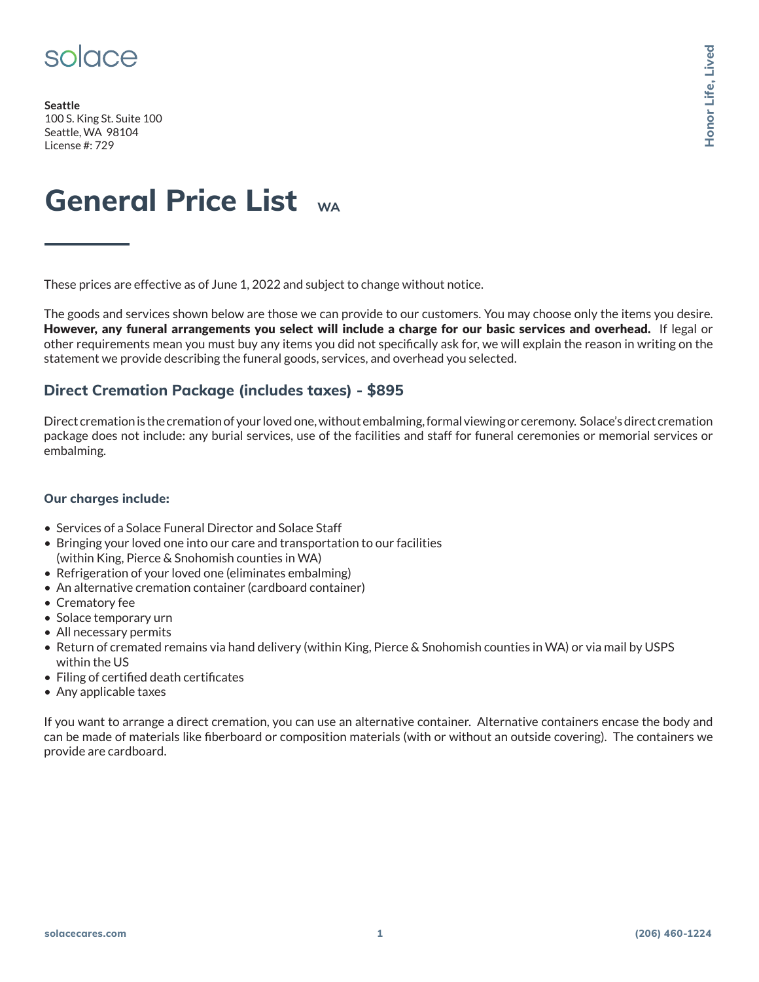**Seattle** 100 S. King St. Suite 100 Seattle, WA 98104 License #: 729

# **General Price List WA**

These prices are effective as of June 1, 2022 and subject to change without notice.

The goods and services shown below are those we can provide to our customers. You may choose only the items you desire. However, any funeral arrangements you select will include a charge for our basic services and overhead. If legal or other requirements mean you must buy any items you did not specifically ask for, we will explain the reason in writing on the statement we provide describing the funeral goods, services, and overhead you selected. **Solace Control and Solace Control and Solace Control and Solace Control and Solace Control and Solace Control and Solace Control and Solace Control and Solace Control and Solace Control and Solace Control and Solace Contr** 

### **Direct Cremation Package (includes taxes) - \$895**

Direct cremation is the cremation of your loved one, without embalming, formal viewing or ceremony. Solace's direct cremation package does not include: any burial services, use of the facilities and staff for funeral ceremonies or memorial services or embalming.

#### **Our charges include:**

- Services of a Solace Funeral Director and Solace Staff
- Bringing your loved one into our care and transportation to our facilities (within King, Pierce & Snohomish counties in WA)
- Refrigeration of your loved one (eliminates embalming)
- An alternative cremation container (cardboard container)
- Crematory fee
- Solace temporary urn
- All necessary permits
- Return of cremated remains via hand delivery (within King, Pierce & Snohomish counties in WA) or via mail by USPS within the US
- Filing of certified death certificates
- Any applicable taxes

If you want to arrange a direct cremation, you can use an alternative container. Alternative containers encase the body and can be made of materials like fiberboard or composition materials (with or without an outside covering). The containers we provide are cardboard.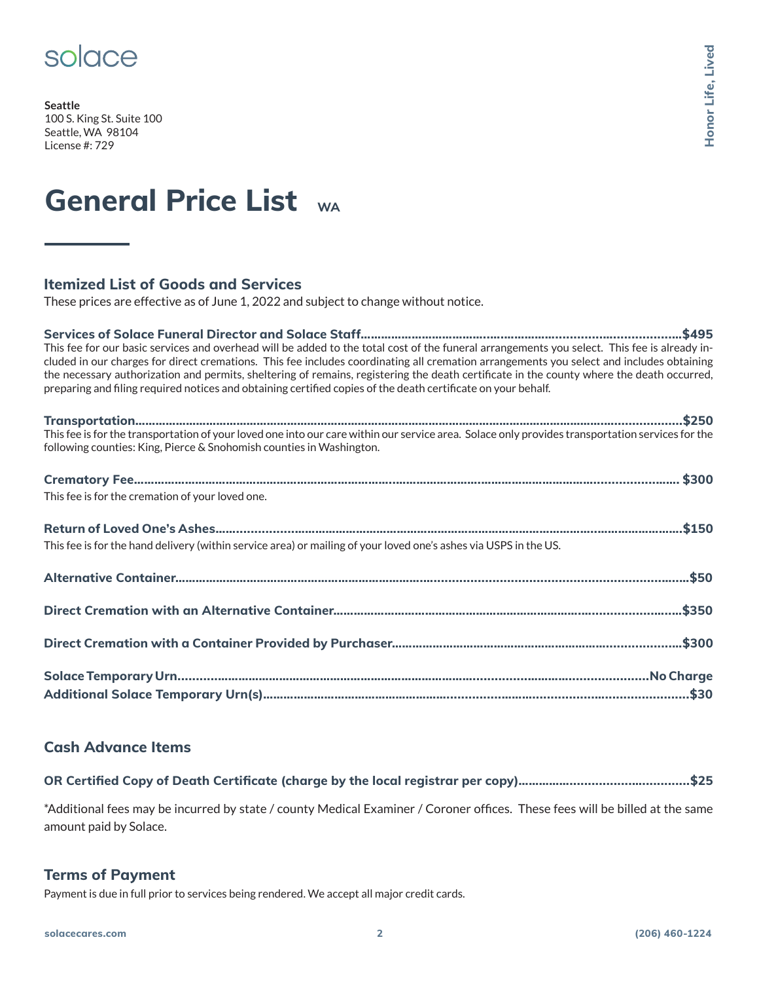## solace

**Seattle** 100 S. King St. Suite 100 Seattle, WA 98104 License #: 729

# **General Price List WA**

### **Itemized List of Goods and Services**

These prices are effective as of June 1, 2022 and subject to change without notice.

**Services of Solace Funeral Director and Solace Staff………………………………..….…………….............…................…\$495** This fee for our basic services and overhead will be added to the total cost of the funeral arrangements you select. This fee is already included in our charges for direct cremations. This fee includes coordinating all cremation arrangements you select and includes obtaining the necessary authorization and permits, sheltering of remains, registering the death certificate in the county where the death occurred, preparing and filing required notices and obtaining certified copies of the death certificate on your behalf.

| This fee is for the transportation of your loved one into our care within our service area. Solace only provides transportation services for the<br>following counties: King, Pierce & Snohomish counties in Washington. |  |
|--------------------------------------------------------------------------------------------------------------------------------------------------------------------------------------------------------------------------|--|
|                                                                                                                                                                                                                          |  |
| This fee is for the cremation of your loved one.                                                                                                                                                                         |  |
|                                                                                                                                                                                                                          |  |
| This fee is for the hand delivery (within service area) or mailing of your loved one's ashes via USPS in the US.                                                                                                         |  |
|                                                                                                                                                                                                                          |  |
|                                                                                                                                                                                                                          |  |
|                                                                                                                                                                                                                          |  |
|                                                                                                                                                                                                                          |  |
|                                                                                                                                                                                                                          |  |

### **Cash Advance Items**

\*Additional fees may be incurred by state / county Medical Examiner / Coroner offices. These fees will be billed at the same amount paid by Solace.

#### **Terms of Payment**

Payment is due in full prior to services being rendered. We accept all major credit cards.